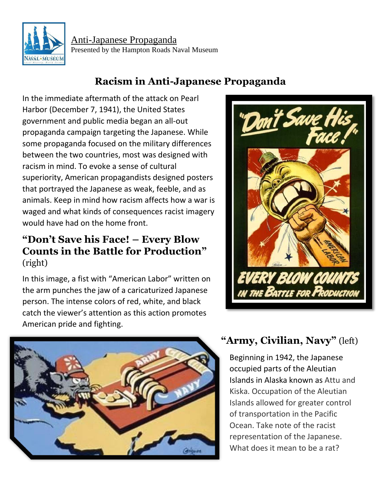

Anti-Japanese Propaganda Presented by the Hampton Roads Naval Museum

## **Racism in Anti-Japanese Propaganda**

In the immediate aftermath of the attack on Pearl Harbor (December 7, 1941), the United States government and public media began an all-out propaganda campaign targeting the Japanese. While some propaganda focused on the military differences between the two countries, most was designed with racism in mind. To evoke a sense of cultural superiority, American propagandists designed posters that portrayed the Japanese as weak, feeble, and as animals. Keep in mind how racism affects how a war is waged and what kinds of consequences racist imagery would have had on the home front.

#### **"Don't Save his Face! – Every Blow Counts in the Battle for Production"** (right)

In this image, a fist with "American Labor" written on the arm punches the jaw of a caricaturized Japanese person. The intense colors of red, white, and black catch the viewer's attention as this action promotes American pride and fighting.





# **"Army, Civilian, Navy"** (left)

Beginning in 1942, the Japanese occupied parts of the Aleutian Islands in Alaska known as Attu and Kiska. Occupation of the Aleutian Islands allowed for greater control of transportation in the Pacific Ocean. Take note of the racist representation of the Japanese. What does it mean to be a rat?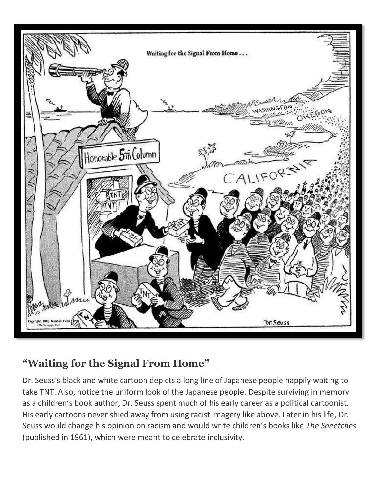

### **"Waiting for the Signal From Home"**

Dr. Seuss's black and white cartoon depicts a long line of Japanese people happily waiting to take TNT. Also, notice the uniform look of the Japanese people. Despite surviving in memory as a children's book author, Dr. Seuss spent much of his early career as a political cartoonist. His early cartoons never shied away from using racist imagery like above. Later in his life, Dr. Seuss would change his opinion on racism and would write children's books like *The Sneetches*  (published in 1961), which were meant to celebrate inclusivity.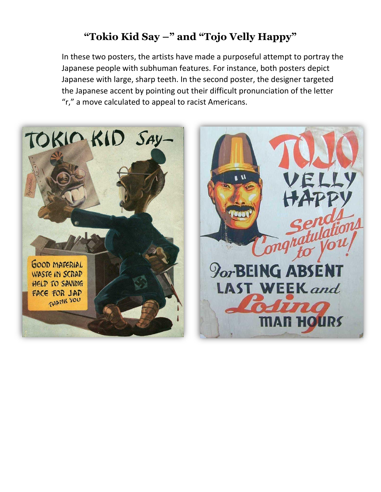## **"Tokio Kid Say –" and "Tojo Velly Happy"**

In these two posters, the artists have made a purposeful attempt to portray the Japanese people with subhuman features. For instance, both posters depict Japanese with large, sharp teeth. In the second poster, the designer targeted the Japanese accent by pointing out their difficult pronunciation of the letter "r," a move calculated to appeal to racist Americans.